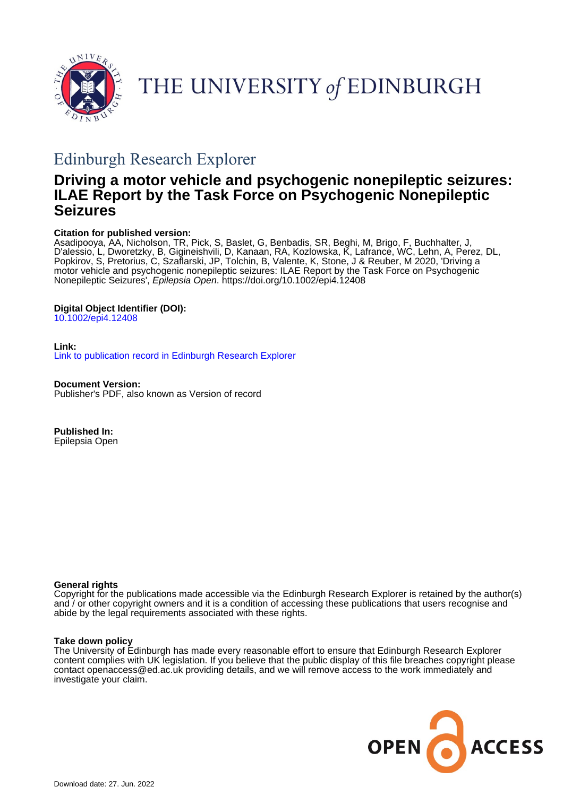

THE UNIVERSITY of EDINBURGH

# Edinburgh Research Explorer

# **Driving a motor vehicle and psychogenic nonepileptic seizures: ILAE Report by the Task Force on Psychogenic Nonepileptic Seizures**

#### **Citation for published version:**

Asadipooya, AA, Nicholson, TR, Pick, S, Baslet, G, Benbadis, SR, Beghi, M, Brigo, F, Buchhalter, J, D'alessio, L, Dworetzky, B, Gigineishvili, D, Kanaan, RA, Kozlowska, K, Lafrance, WC, Lehn, A, Perez, DL, Popkirov, S, Pretorius, C, Szaflarski, JP, Tolchin, B, Valente, K, Stone, J & Reuber, M 2020, 'Driving a motor vehicle and psychogenic nonepileptic seizures: ILAE Report by the Task Force on Psychogenic Nonepileptic Seizures', Epilepsia Open. <https://doi.org/10.1002/epi4.12408>

# **Digital Object Identifier (DOI):**

[10.1002/epi4.12408](https://doi.org/10.1002/epi4.12408)

#### **Link:**

[Link to publication record in Edinburgh Research Explorer](https://www.research.ed.ac.uk/en/publications/49b30bb7-218e-4583-aaf2-484fceed5e0c)

**Document Version:** Publisher's PDF, also known as Version of record

**Published In:** Epilepsia Open

#### **General rights**

Copyright for the publications made accessible via the Edinburgh Research Explorer is retained by the author(s) and / or other copyright owners and it is a condition of accessing these publications that users recognise and abide by the legal requirements associated with these rights.

#### **Take down policy**

The University of Edinburgh has made every reasonable effort to ensure that Edinburgh Research Explorer content complies with UK legislation. If you believe that the public display of this file breaches copyright please contact openaccess@ed.ac.uk providing details, and we will remove access to the work immediately and investigate your claim.

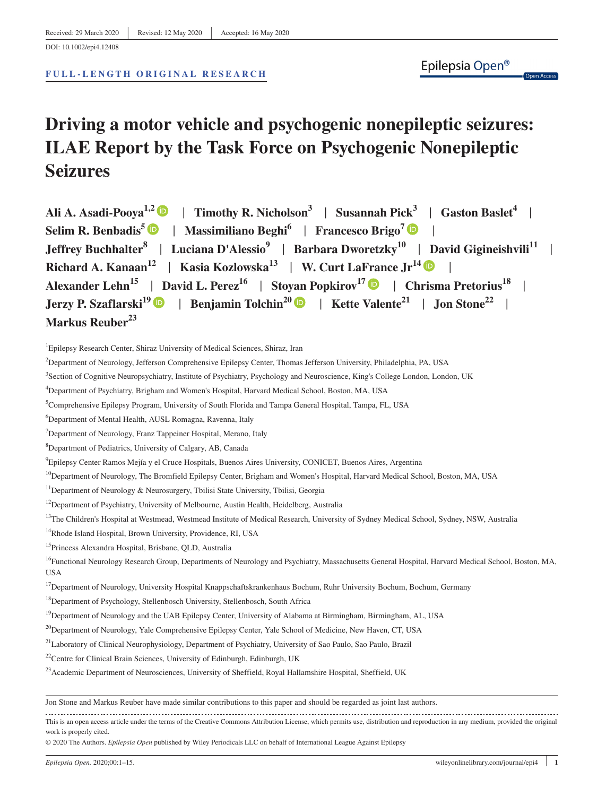**FULL-LENGTH ORIGINAL RESEARCH**

Open Access

# **Driving a motor vehicle and psychogenic nonepileptic seizures: ILAE Report by the Task Force on Psychogenic Nonepileptic Seizures**

Ali A. Asadi-Pooya<sup>1,[2](https://orcid.org/0000-0002-2598-7601)</sup> | Timothy R. Nicholson<sup>3</sup> | Susannah Pick<sup>3</sup> | Gaston Baslet<sup>4</sup> | **Selim R. Benbadis5** | **Massimiliano Beghi6** | **Francesco Brigo<sup>7</sup>** | **Jeffrey Buchhalter<sup>8</sup> | Luciana D'Alessio<sup>9</sup> | Barbara Dworetzky<sup>10</sup> | David Gigineishvili<sup>11</sup> | Richard A. Kanaan**<sup>12</sup> | **Kasia Kozlowska**<sup>13</sup> | **W. Curt LaFrance Jr**<sup>1[4](https://orcid.org/0000-0002-4901-3852)</sup> | | **Alexander Lehn15** | **David L. Perez<sup>16</sup>** | **Stoyan Popkirov1[7](https://orcid.org/0000-0001-6168-0036)** | **Chrisma Pretorius18** | **Jerzy P. Szaflarski**<sup>1[9](https://orcid.org/0000-0002-5936-6627)</sup> | Benjamin Tolchin<sup>20</sup> | Kette Valente<sup>21</sup> | **Jon Stone**<sup>22</sup> | **Markus Reuber23**

<sup>1</sup>Epilepsy Research Center, Shiraz University of Medical Sciences, Shiraz, Iran

- <sup>3</sup>Section of Cognitive Neuropsychiatry, Institute of Psychiatry, Psychology and Neuroscience, King's College London, London, UK
- 4 Department of Psychiatry, Brigham and Women's Hospital, Harvard Medical School, Boston, MA, USA
- 5 Comprehensive Epilepsy Program, University of South Florida and Tampa General Hospital, Tampa, FL, USA
- 6 Department of Mental Health, AUSL Romagna, Ravenna, Italy
- 7 Department of Neurology, Franz Tappeiner Hospital, Merano, Italy
- 8 Department of Pediatrics, University of Calgary, AB, Canada
- 9 Epilepsy Center Ramos Mejía y el Cruce Hospitals, Buenos Aires University, CONICET, Buenos Aires, Argentina

<sup>10</sup>Department of Neurology, The Bromfield Epilepsy Center, Brigham and Women's Hospital, Harvard Medical School, Boston, MA, USA

- <sup>11</sup>Department of Neurology & Neurosurgery, Tbilisi State University, Tbilisi, Georgia
- <sup>12</sup>Department of Psychiatry, University of Melbourne, Austin Health, Heidelberg, Australia

<sup>13</sup>The Children's Hospital at Westmead, Westmead Institute of Medical Research, University of Sydney Medical School, Sydney, NSW, Australia

- <sup>14</sup>Rhode Island Hospital, Brown University, Providence, RI, USA
- <sup>15</sup>Princess Alexandra Hospital, Brisbane, QLD, Australia

<sup>16</sup>Functional Neurology Research Group, Departments of Neurology and Psychiatry, Massachusetts General Hospital, Harvard Medical School, Boston, MA, USA

<sup>17</sup>Department of Neurology, University Hospital Knappschaftskrankenhaus Bochum, Ruhr University Bochum, Bochum, Germany

- 18Department of Psychology, Stellenbosch University, Stellenbosch, South Africa
- <sup>19</sup>Department of Neurology and the UAB Epilepsy Center, University of Alabama at Birmingham, Birmingham, AL, USA
- <sup>20</sup>Department of Neurology, Yale Comprehensive Epilepsy Center, Yale School of Medicine, New Haven, CT, USA
- <sup>21</sup>Laboratory of Clinical Neurophysiology, Department of Psychiatry, University of Sao Paulo, Sao Paulo, Brazil
- $22$ Centre for Clinical Brain Sciences, University of Edinburgh, Edinburgh, UK
- <sup>23</sup> Academic Department of Neurosciences, University of Sheffield, Royal Hallamshire Hospital, Sheffield, UK

© 2020 The Authors. *Epilepsia Open* published by Wiley Periodicals LLC on behalf of International League Against Epilepsy

<sup>2</sup> Department of Neurology, Jefferson Comprehensive Epilepsy Center, Thomas Jefferson University, Philadelphia, PA, USA

Jon Stone and Markus Reuber have made similar contributions to this paper and should be regarded as joint last authors.

This is an open access article under the terms of the [Creative Commons Attribution](http://creativecommons.org/licenses/by/4.0/) License, which permits use, distribution and reproduction in any medium, provided the original work is properly cited.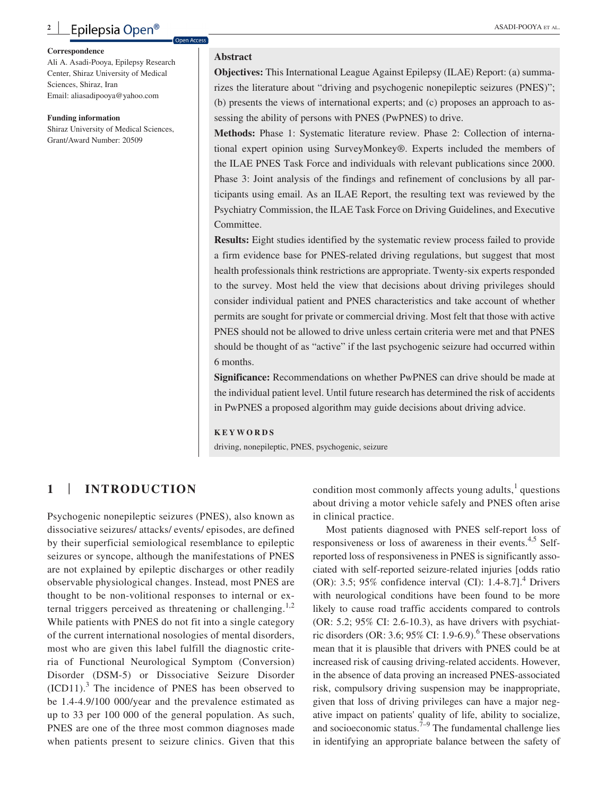#### **Correspondence**

Ali A. Asadi-Pooya, Epilepsy Research Center, Shiraz University of Medical Sciences, Shiraz, Iran Email: [aliasadipooya@yahoo.com](mailto:aliasadipooya@yahoo.com)

#### **Funding information**

Shiraz University of Medical Sciences, Grant/Award Number: 20509

#### **Abstract**

**Objectives:** This International League Against Epilepsy (ILAE) Report: (a) summarizes the literature about "driving and psychogenic nonepileptic seizures (PNES)"; (b) presents the views of international experts; and (c) proposes an approach to assessing the ability of persons with PNES (PwPNES) to drive.

**Methods:** Phase 1: Systematic literature review. Phase 2: Collection of international expert opinion using SurveyMonkey®. Experts included the members of the ILAE PNES Task Force and individuals with relevant publications since 2000. Phase 3: Joint analysis of the findings and refinement of conclusions by all participants using email. As an ILAE Report, the resulting text was reviewed by the Psychiatry Commission, the ILAE Task Force on Driving Guidelines, and Executive Committee.

**Results:** Eight studies identified by the systematic review process failed to provide a firm evidence base for PNES-related driving regulations, but suggest that most health professionals think restrictions are appropriate. Twenty-six experts responded to the survey. Most held the view that decisions about driving privileges should consider individual patient and PNES characteristics and take account of whether permits are sought for private or commercial driving. Most felt that those with active PNES should not be allowed to drive unless certain criteria were met and that PNES should be thought of as "active" if the last psychogenic seizure had occurred within 6 months.

**Significance:** Recommendations on whether PwPNES can drive should be made at the individual patient level. Until future research has determined the risk of accidents in PwPNES a proposed algorithm may guide decisions about driving advice.

#### **KEYWORDS**

driving, nonepileptic, PNES, psychogenic, seizure

# **1** | **INTRODUCTION**

Psychogenic nonepileptic seizures (PNES), also known as dissociative seizures/ attacks/ events/ episodes, are defined by their superficial semiological resemblance to epileptic seizures or syncope, although the manifestations of PNES are not explained by epileptic discharges or other readily observable physiological changes. Instead, most PNES are thought to be non-volitional responses to internal or external triggers perceived as threatening or challenging.<sup>1,2</sup> While patients with PNES do not fit into a single category of the current international nosologies of mental disorders, most who are given this label fulfill the diagnostic criteria of Functional Neurological Symptom (Conversion) Disorder (DSM-5) or Dissociative Seizure Disorder  $(ICD11).$ <sup>3</sup> The incidence of PNES has been observed to be 1.4-4.9/100 000/year and the prevalence estimated as up to 33 per 100 000 of the general population. As such, PNES are one of the three most common diagnoses made when patients present to seizure clinics. Given that this

condition most commonly affects young adults,<sup>1</sup> questions about driving a motor vehicle safely and PNES often arise in clinical practice.

Most patients diagnosed with PNES self-report loss of responsiveness or loss of awareness in their events.<sup>4,5</sup> Selfreported loss of responsiveness in PNES is significantly associated with self-reported seizure-related injuries [odds ratio (OR): 3.5;  $95\%$  confidence interval (CI): 1.4-8.7].<sup>4</sup> Drivers with neurological conditions have been found to be more likely to cause road traffic accidents compared to controls (OR: 5.2; 95% CI: 2.6-10.3), as have drivers with psychiatric disorders (OR: 3.6;  $95\%$  CI: 1.9-6.9).<sup>6</sup> These observations mean that it is plausible that drivers with PNES could be at increased risk of causing driving-related accidents. However, in the absence of data proving an increased PNES-associated risk, compulsory driving suspension may be inappropriate, given that loss of driving privileges can have a major negative impact on patients' quality of life, ability to socialize, and socioeconomic status.<sup> $7-9$ </sup> The fundamental challenge lies in identifying an appropriate balance between the safety of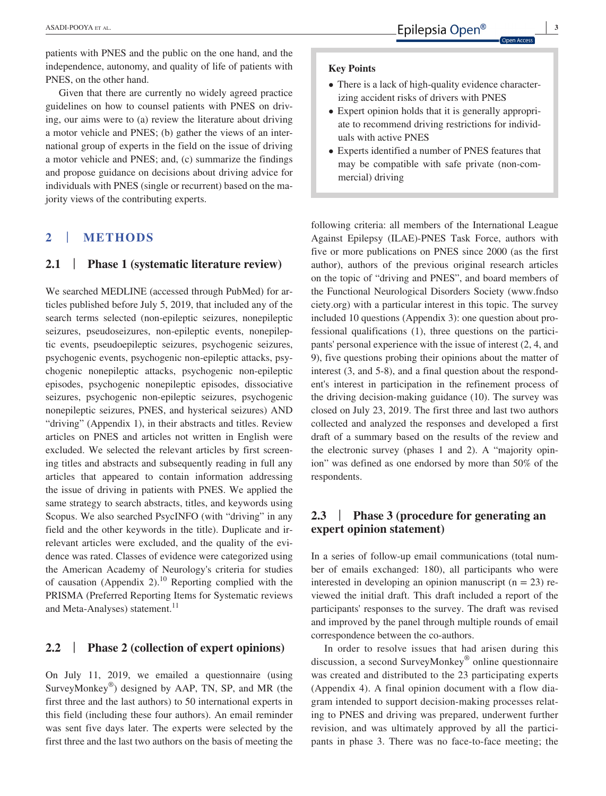patients with PNES and the public on the one hand, and the independence, autonomy, and quality of life of patients with PNES, on the other hand.

Given that there are currently no widely agreed practice guidelines on how to counsel patients with PNES on driving, our aims were to (a) review the literature about driving a motor vehicle and PNES; (b) gather the views of an international group of experts in the field on the issue of driving a motor vehicle and PNES; and, (c) summarize the findings and propose guidance on decisions about driving advice for individuals with PNES (single or recurrent) based on the majority views of the contributing experts.

#### **2** | **METHODS**

#### **2.1** | **Phase 1 (systematic literature review)**

We searched MEDLINE (accessed through PubMed) for articles published before July 5, 2019, that included any of the search terms selected (non-epileptic seizures, nonepileptic seizures, pseudoseizures, non-epileptic events, nonepileptic events, pseudoepileptic seizures, psychogenic seizures, psychogenic events, psychogenic non-epileptic attacks, psychogenic nonepileptic attacks, psychogenic non-epileptic episodes, psychogenic nonepileptic episodes, dissociative seizures, psychogenic non-epileptic seizures, psychogenic nonepileptic seizures, PNES, and hysterical seizures) AND "driving" (Appendix 1), in their abstracts and titles. Review articles on PNES and articles not written in English were excluded. We selected the relevant articles by first screening titles and abstracts and subsequently reading in full any articles that appeared to contain information addressing the issue of driving in patients with PNES. We applied the same strategy to search abstracts, titles, and keywords using Scopus. We also searched PsycINFO (with "driving" in any field and the other keywords in the title). Duplicate and irrelevant articles were excluded, and the quality of the evidence was rated. Classes of evidence were categorized using the American Academy of Neurology's criteria for studies of causation (Appendix 2).<sup>10</sup> Reporting complied with the PRISMA (Preferred Reporting Items for Systematic reviews and Meta-Analyses) statement.<sup>11</sup>

# **2.2** | **Phase 2 (collection of expert opinions)**

On July 11, 2019, we emailed a questionnaire (using SurveyMonkey®) designed by AAP, TN, SP, and MR (the first three and the last authors) to 50 international experts in this field (including these four authors). An email reminder was sent five days later. The experts were selected by the first three and the last two authors on the basis of meeting the

#### **Key Points**

- There is a lack of high-quality evidence characterizing accident risks of drivers with PNES
- Expert opinion holds that it is generally appropriate to recommend driving restrictions for individuals with active PNES
- Experts identified a number of PNES features that may be compatible with safe private (non-commercial) driving

following criteria: all members of the International League Against Epilepsy (ILAE)-PNES Task Force, authors with five or more publications on PNES since 2000 (as the first author), authors of the previous original research articles on the topic of "driving and PNES", and board members of the Functional Neurological Disorders Society [\(www.fndso](http://www.fndsociety.org) [ciety.org](http://www.fndsociety.org)) with a particular interest in this topic. The survey included 10 questions (Appendix 3): one question about professional qualifications (1), three questions on the participants' personal experience with the issue of interest (2, 4, and 9), five questions probing their opinions about the matter of interest (3, and 5-8), and a final question about the respondent's interest in participation in the refinement process of the driving decision-making guidance (10). The survey was closed on July 23, 2019. The first three and last two authors collected and analyzed the responses and developed a first draft of a summary based on the results of the review and the electronic survey (phases 1 and 2). A "majority opinion" was defined as one endorsed by more than 50% of the respondents.

# **2.3** | **Phase 3 (procedure for generating an expert opinion statement)**

In a series of follow-up email communications (total number of emails exchanged: 180), all participants who were interested in developing an opinion manuscript ( $n = 23$ ) reviewed the initial draft. This draft included a report of the participants' responses to the survey. The draft was revised and improved by the panel through multiple rounds of email correspondence between the co-authors.

In order to resolve issues that had arisen during this discussion, a second SurveyMonkey® online questionnaire was created and distributed to the 23 participating experts (Appendix 4). A final opinion document with a flow diagram intended to support decision-making processes relating to PNES and driving was prepared, underwent further revision, and was ultimately approved by all the participants in phase 3. There was no face-to-face meeting; the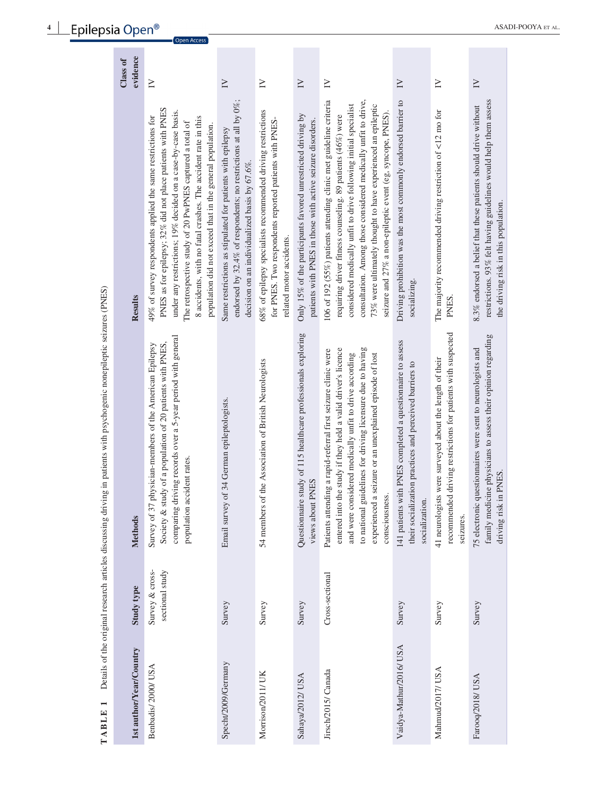**TABLE 1** Details of the original research articles discussing driving in patients with psychogenic nonepileptic seizures (PNES)

TABLE 1 Details of the original research articles discussing driving in patients with psychogenic nonepileptic seizures (PNES)

| Survey of 37 physician-members of the American Epilepsy                                                                                                                                                                                                                                            |
|----------------------------------------------------------------------------------------------------------------------------------------------------------------------------------------------------------------------------------------------------------------------------------------------------|
| comparing driving records over a 5-year period with general<br>Society & study of a population of 20 patients with PNES,                                                                                                                                                                           |
| 34 German epileptologists.                                                                                                                                                                                                                                                                         |
| the Association of British Neurologists                                                                                                                                                                                                                                                            |
| Questionnaire study of 115 healthcare professionals exploring                                                                                                                                                                                                                                      |
| to national guidelines for driving licensure due to having<br>entered into the study if they held a valid driver's licence<br>Patients attending a rapid-referral first seizure clinic were<br>and were considered medically unfit to drive according<br>seizure or an unexplained episode of lost |
| 141 patients with PNES completed a questionnaire to assess<br>their socialization practices and perceived barriers to                                                                                                                                                                              |
| driving restrictions for patients with suspected<br>41 neurologists were surveyed about the length of their                                                                                                                                                                                        |
| family medicine physicians to assess their opinion regarding<br>75 electronic questionnaires were sent to neurologists and                                                                                                                                                                         |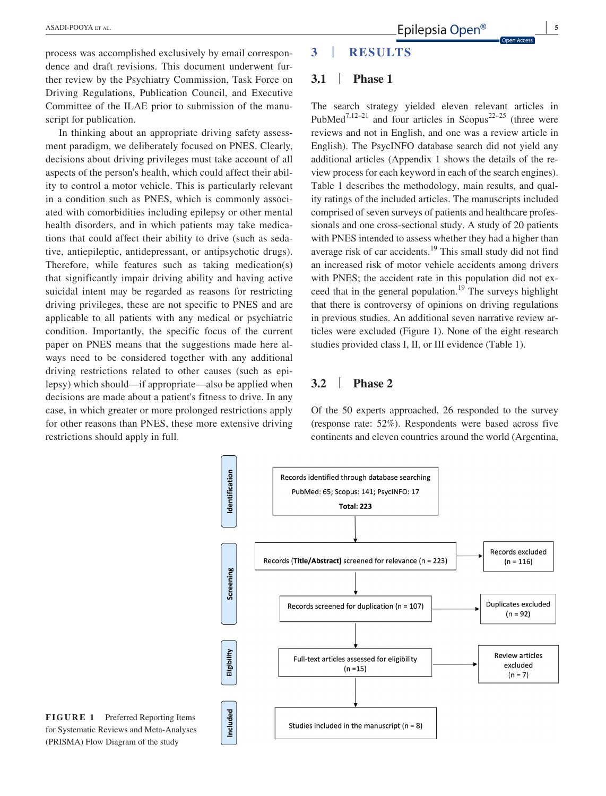process was accomplished exclusively by email correspondence and draft revisions. This document underwent further review by the Psychiatry Commission, Task Force on Driving Regulations, Publication Council, and Executive Committee of the ILAE prior to submission of the manuscript for publication.

In thinking about an appropriate driving safety assessment paradigm, we deliberately focused on PNES. Clearly, decisions about driving privileges must take account of all aspects of the person's health, which could affect their ability to control a motor vehicle. This is particularly relevant in a condition such as PNES, which is commonly associated with comorbidities including epilepsy or other mental health disorders, and in which patients may take medications that could affect their ability to drive (such as sedative, antiepileptic, antidepressant, or antipsychotic drugs). Therefore, while features such as taking medication(s) that significantly impair driving ability and having active suicidal intent may be regarded as reasons for restricting driving privileges, these are not specific to PNES and are applicable to all patients with any medical or psychiatric condition. Importantly, the specific focus of the current paper on PNES means that the suggestions made here always need to be considered together with any additional driving restrictions related to other causes (such as epilepsy) which should—if appropriate—also be applied when decisions are made about a patient's fitness to drive. In any case, in which greater or more prolonged restrictions apply for other reasons than PNES, these more extensive driving restrictions should apply in full.

#### **3.1** | **Phase 1**

The search strategy yielded eleven relevant articles in PubMed<sup>7,12–21</sup> and four articles in Scopus<sup>22–25</sup> (three were reviews and not in English, and one was a review article in English). The PsycINFO database search did not yield any additional articles (Appendix 1 shows the details of the review process for each keyword in each of the search engines). Table 1 describes the methodology, main results, and quality ratings of the included articles. The manuscripts included comprised of seven surveys of patients and healthcare professionals and one cross-sectional study. A study of 20 patients with PNES intended to assess whether they had a higher than average risk of car accidents.19 This small study did not find an increased risk of motor vehicle accidents among drivers with PNES; the accident rate in this population did not exceed that in the general population.<sup>19</sup> The surveys highlight that there is controversy of opinions on driving regulations in previous studies. An additional seven narrative review articles were excluded (Figure 1). None of the eight research studies provided class I, II, or III evidence (Table 1).

# **3.2** | **Phase 2**

Of the 50 experts approached, 26 responded to the survey (response rate: 52%). Respondents were based across five continents and eleven countries around the world (Argentina,



**FIGURE 1** Preferred Reporting Items for Systematic Reviews and Meta-Analyses (PRISMA) Flow Diagram of the study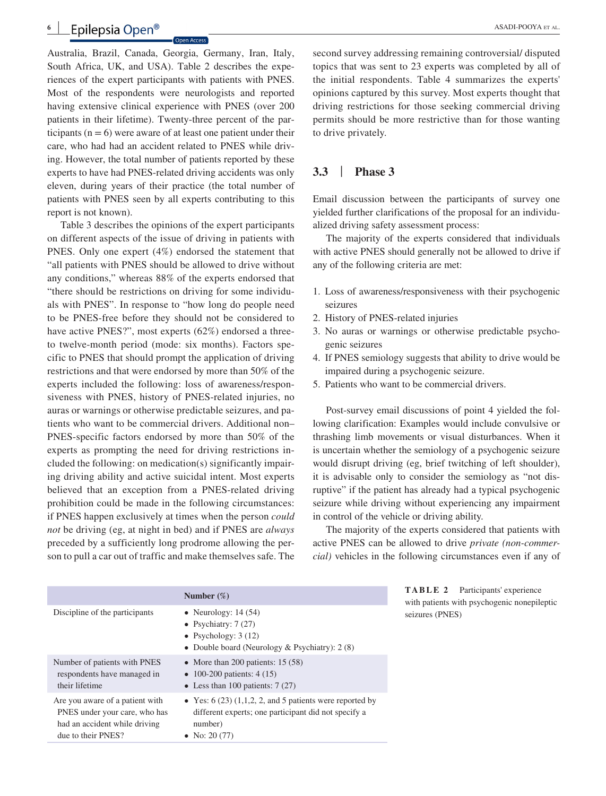#### **<sup>6</sup> <sup>|</sup> Epilepsia Open<sup>®</sup> 2008 and 2008 and 2008 and 2008 and 2008 and 2008 and 2008 and 2008 and 2008 and 2008 and 2008 and 2008 and 2008 and 2008 and 2008 and 2008 and 2008 and 2008 and 2008 and 2008 and 2008 and 2008 and 2008**

Australia, Brazil, Canada, Georgia, Germany, Iran, Italy, South Africa, UK, and USA). Table 2 describes the experiences of the expert participants with patients with PNES. Most of the respondents were neurologists and reported having extensive clinical experience with PNES (over 200 patients in their lifetime). Twenty-three percent of the participants ( $n = 6$ ) were aware of at least one patient under their care, who had had an accident related to PNES while driving. However, the total number of patients reported by these experts to have had PNES-related driving accidents was only eleven, during years of their practice (the total number of patients with PNES seen by all experts contributing to this report is not known).

Table 3 describes the opinions of the expert participants on different aspects of the issue of driving in patients with PNES. Only one expert (4%) endorsed the statement that "all patients with PNES should be allowed to drive without any conditions," whereas 88% of the experts endorsed that "there should be restrictions on driving for some individuals with PNES". In response to "how long do people need to be PNES-free before they should not be considered to have active PNES?", most experts (62%) endorsed a threeto twelve-month period (mode: six months). Factors specific to PNES that should prompt the application of driving restrictions and that were endorsed by more than 50% of the experts included the following: loss of awareness/responsiveness with PNES, history of PNES-related injuries, no auras or warnings or otherwise predictable seizures, and patients who want to be commercial drivers. Additional non– PNES-specific factors endorsed by more than 50% of the experts as prompting the need for driving restrictions included the following: on medication(s) significantly impairing driving ability and active suicidal intent. Most experts believed that an exception from a PNES-related driving prohibition could be made in the following circumstances: if PNES happen exclusively at times when the person *could not* be driving (eg, at night in bed) and if PNES are *always* preceded by a sufficiently long prodrome allowing the person to pull a car out of traffic and make themselves safe. The

second survey addressing remaining controversial/ disputed topics that was sent to 23 experts was completed by all of the initial respondents. Table 4 summarizes the experts' opinions captured by this survey. Most experts thought that driving restrictions for those seeking commercial driving permits should be more restrictive than for those wanting to drive privately.

#### **3.3** | **Phase 3**

Email discussion between the participants of survey one yielded further clarifications of the proposal for an individualized driving safety assessment process:

The majority of the experts considered that individuals with active PNES should generally not be allowed to drive if any of the following criteria are met:

- 1. Loss of awareness/responsiveness with their psychogenic seizures
- 2. History of PNES-related injuries
- 3. No auras or warnings or otherwise predictable psychogenic seizures
- 4. If PNES semiology suggests that ability to drive would be impaired during a psychogenic seizure.
- 5. Patients who want to be commercial drivers.

Post-survey email discussions of point 4 yielded the following clarification: Examples would include convulsive or thrashing limb movements or visual disturbances. When it is uncertain whether the semiology of a psychogenic seizure would disrupt driving (eg, brief twitching of left shoulder), it is advisable only to consider the semiology as "not disruptive" if the patient has already had a typical psychogenic seizure while driving without experiencing any impairment in control of the vehicle or driving ability.

The majority of the experts considered that patients with active PNES can be allowed to drive *private (non-commercial)* vehicles in the following circumstances even if any of

|                                                                                                                         | Number $(\%)$                                                                                                                                 | TABLE 2<br>Participants' experience<br>with patients with psychogenic nonepileptic |
|-------------------------------------------------------------------------------------------------------------------------|-----------------------------------------------------------------------------------------------------------------------------------------------|------------------------------------------------------------------------------------|
| Discipline of the participants                                                                                          | • Neurology: $14(54)$<br>• Psychiatry: $7(27)$<br>• Psychology: $3(12)$<br>• Double board (Neurology & Psychiatry): $2(8)$                    | seizures (PNES)                                                                    |
| Number of patients with PNES<br>respondents have managed in<br>their lifetime                                           | • More than 200 patients: $15(58)$<br>• 100-200 patients: $4(15)$<br>• Less than 100 patients: $7(27)$                                        |                                                                                    |
| Are you aware of a patient with<br>PNES under your care, who has<br>had an accident while driving<br>due to their PNES? | • Yes: $6(23)(1,1,2, 2,$ and 5 patients were reported by<br>different experts; one participant did not specify a<br>number)<br>• No: $20(77)$ |                                                                                    |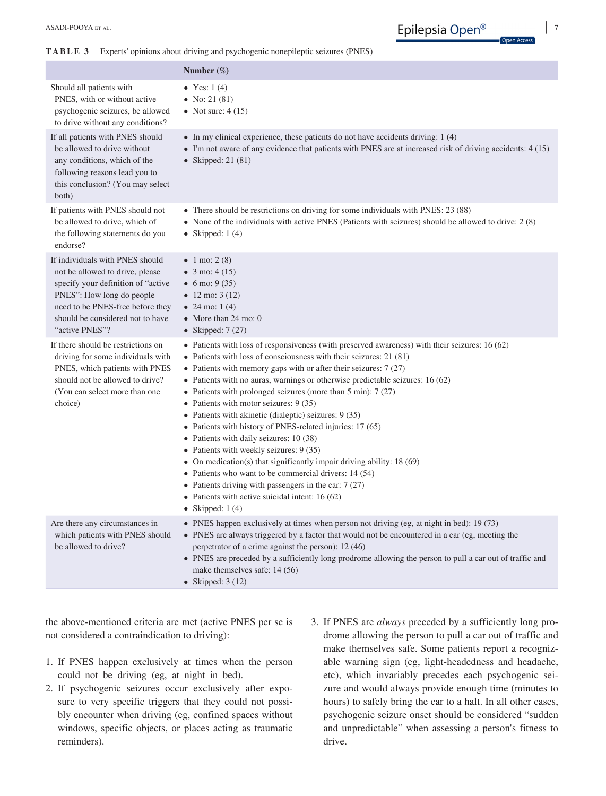**TABLE 3** Experts' opinions about driving and psychogenic nonepileptic seizures (PNES)

|                                                                                                                                                                                                                                  | Number $(\%)$                                                                                                                                                                                                                                                                                                                                                                                                                                                                                                                                                                                                                                                                                                                                                                                                                                                                                                                   |
|----------------------------------------------------------------------------------------------------------------------------------------------------------------------------------------------------------------------------------|---------------------------------------------------------------------------------------------------------------------------------------------------------------------------------------------------------------------------------------------------------------------------------------------------------------------------------------------------------------------------------------------------------------------------------------------------------------------------------------------------------------------------------------------------------------------------------------------------------------------------------------------------------------------------------------------------------------------------------------------------------------------------------------------------------------------------------------------------------------------------------------------------------------------------------|
| Should all patients with<br>PNES, with or without active<br>psychogenic seizures, be allowed<br>to drive without any conditions?                                                                                                 | • Yes: $1(4)$<br>• No: 21 (81)<br>• Not sure: $4(15)$                                                                                                                                                                                                                                                                                                                                                                                                                                                                                                                                                                                                                                                                                                                                                                                                                                                                           |
| If all patients with PNES should<br>be allowed to drive without<br>any conditions, which of the<br>following reasons lead you to<br>this conclusion? (You may select<br>both)                                                    | • In my clinical experience, these patients do not have accidents driving: $1(4)$<br>• I'm not aware of any evidence that patients with PNES are at increased risk of driving accidents: 4 (15)<br>• Skipped: 21 $(81)$                                                                                                                                                                                                                                                                                                                                                                                                                                                                                                                                                                                                                                                                                                         |
| If patients with PNES should not<br>be allowed to drive, which of<br>the following statements do you<br>endorse?                                                                                                                 | • There should be restrictions on driving for some individuals with PNES: 23 (88)<br>• None of the individuals with active PNES (Patients with seizures) should be allowed to drive: $2(8)$<br>• Skipped: $1(4)$                                                                                                                                                                                                                                                                                                                                                                                                                                                                                                                                                                                                                                                                                                                |
| If individuals with PNES should<br>not be allowed to drive, please<br>specify your definition of "active"<br>PNES": How long do people<br>need to be PNES-free before they<br>should be considered not to have<br>"active PNES"? | • 1 mo: $2(8)$<br>• 3 mo: $4(15)$<br>• 6 mo: $9(35)$<br>• 12 mo: $3(12)$<br>• 24 mo: $1(4)$<br>• More than $24 \text{ mo}$ : 0<br>• Skipped: $7(27)$                                                                                                                                                                                                                                                                                                                                                                                                                                                                                                                                                                                                                                                                                                                                                                            |
| If there should be restrictions on<br>driving for some individuals with<br>PNES, which patients with PNES<br>should not be allowed to drive?<br>(You can select more than one)<br>choice)                                        | • Patients with loss of responsiveness (with preserved awareness) with their seizures: $16(62)$<br>• Patients with loss of consciousness with their seizures: $21(81)$<br>• Patients with memory gaps with or after their seizures: $7(27)$<br>• Patients with no auras, warnings or otherwise predictable seizures: 16 (62)<br>• Patients with prolonged seizures (more than $5$ min): $7(27)$<br>• Patients with motor seizures: 9 (35)<br>• Patients with akinetic (dialeptic) seizures: 9 (35)<br>• Patients with history of PNES-related injuries: $17(65)$<br>• Patients with daily seizures: $10(38)$<br>• Patients with weekly seizures: $9(35)$<br>• On medication(s) that significantly impair driving ability: $18(69)$<br>• Patients who want to be commercial drivers: $14(54)$<br>• Patients driving with passengers in the car: $7(27)$<br>• Patients with active suicidal intent: $16(62)$<br>• Skipped: $1(4)$ |
| Are there any circumstances in<br>which patients with PNES should<br>be allowed to drive?                                                                                                                                        | • PNES happen exclusively at times when person not driving (eg, at night in bed): 19 (73)<br>• PNES are always triggered by a factor that would not be encountered in a car (eg, meeting the<br>perpetrator of a crime against the person): 12 (46)<br>• PNES are preceded by a sufficiently long prodrome allowing the person to pull a car out of traffic and<br>make themselves safe: 14 (56)<br>• Skipped: $3(12)$                                                                                                                                                                                                                                                                                                                                                                                                                                                                                                          |

the above-mentioned criteria are met (active PNES per se is not considered a contraindication to driving):

- 1. If PNES happen exclusively at times when the person could not be driving (eg, at night in bed).
- 2. If psychogenic seizures occur exclusively after exposure to very specific triggers that they could not possibly encounter when driving (eg, confined spaces without windows, specific objects, or places acting as traumatic reminders).
- 3. If PNES are *always* preceded by a sufficiently long prodrome allowing the person to pull a car out of traffic and make themselves safe. Some patients report a recognizable warning sign (eg, light-headedness and headache, etc), which invariably precedes each psychogenic seizure and would always provide enough time (minutes to hours) to safely bring the car to a halt. In all other cases, psychogenic seizure onset should be considered "sudden and unpredictable" when assessing a person's fitness to drive.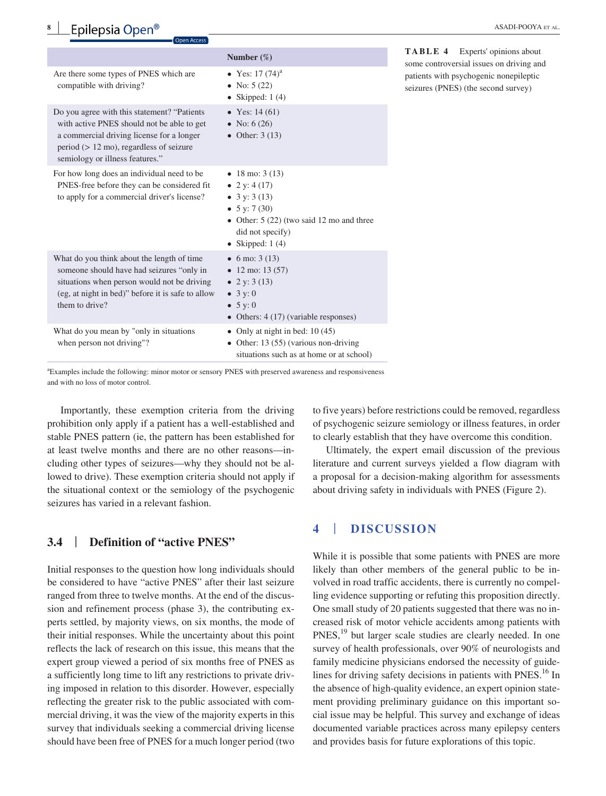**TABLE 4** Experts' opinions about some controversial issues on driving and patients with psychogenic nonepileptic

|                                                                                                                                                                                                                                  |                                                                                                                                                                                   | some controversial issues on driving                                       |
|----------------------------------------------------------------------------------------------------------------------------------------------------------------------------------------------------------------------------------|-----------------------------------------------------------------------------------------------------------------------------------------------------------------------------------|----------------------------------------------------------------------------|
| Are there some types of PNES which are<br>compatible with driving?                                                                                                                                                               | • Yes: $17 (74)^a$<br>• No: $5(22)$<br>• Skipped: $1(4)$                                                                                                                          | patients with psychogenic nonepilep<br>seizures (PNES) (the second survey) |
| Do you agree with this statement? "Patients"<br>with active PNES should not be able to get<br>a commercial driving license for a longer<br>$period (> 12 \text{ mo})$ , regardless of seizure<br>semiology or illness features." | • Yes: $14(61)$<br>• No: $6(26)$<br>• Other: $3(13)$                                                                                                                              |                                                                            |
| For how long does an individual need to be<br>PNES-free before they can be considered fit<br>to apply for a commercial driver's license?                                                                                         | • 18 mo: $3(13)$<br>• 2 y: $4(17)$<br>• $3 \text{ y}$ : $3 \text{ (13)}$<br>• $5 y: 7(30)$<br>• Other: $5(22)$ (two said 12 mo and three<br>did not specify)<br>• Skipped: $1(4)$ |                                                                            |
| What do you think about the length of time<br>someone should have had seizures "only in<br>situations when person would not be driving<br>(eg, at night in bed)" before it is safe to allow<br>them to drive?                    | • 6 mo: $3(13)$<br>• 12 mo: 13 $(57)$<br>• 2 y: $3(13)$<br>• $3 y: 0$<br>• $5 y: 0$<br>• Others: $4(17)$ (variable responses)                                                     |                                                                            |
| What do you mean by "only in situations<br>when person not driving"?                                                                                                                                                             | • Only at night in bed: $10(45)$<br>• Other: 13 $(55)$ (various non-driving<br>situations such as at home or at school)                                                           |                                                                            |

**Number (%)**

**Open Access** 

a Examples include the following: minor motor or sensory PNES with preserved awareness and responsiveness and with no loss of motor control.

Importantly, these exemption criteria from the driving prohibition only apply if a patient has a well-established and stable PNES pattern (ie, the pattern has been established for at least twelve months and there are no other reasons—including other types of seizures—why they should not be allowed to drive). These exemption criteria should not apply if the situational context or the semiology of the psychogenic seizures has varied in a relevant fashion.

## **3.4** | **Definition of "active PNES"**

Initial responses to the question how long individuals should be considered to have "active PNES" after their last seizure ranged from three to twelve months. At the end of the discussion and refinement process (phase 3), the contributing experts settled, by majority views, on six months, the mode of their initial responses. While the uncertainty about this point reflects the lack of research on this issue, this means that the expert group viewed a period of six months free of PNES as a sufficiently long time to lift any restrictions to private driving imposed in relation to this disorder. However, especially reflecting the greater risk to the public associated with commercial driving, it was the view of the majority experts in this survey that individuals seeking a commercial driving license should have been free of PNES for a much longer period (two to five years) before restrictions could be removed, regardless of psychogenic seizure semiology or illness features, in order to clearly establish that they have overcome this condition.

Ultimately, the expert email discussion of the previous literature and current surveys yielded a flow diagram with a proposal for a decision-making algorithm for assessments about driving safety in individuals with PNES (Figure 2).

# **4** | **DISCUSSION**

While it is possible that some patients with PNES are more likely than other members of the general public to be involved in road traffic accidents, there is currently no compelling evidence supporting or refuting this proposition directly. One small study of 20 patients suggested that there was no increased risk of motor vehicle accidents among patients with PNES,<sup>19</sup> but larger scale studies are clearly needed. In one survey of health professionals, over 90% of neurologists and family medicine physicians endorsed the necessity of guidelines for driving safety decisions in patients with  $PNES<sup>16</sup>$  In the absence of high-quality evidence, an expert opinion statement providing preliminary guidance on this important social issue may be helpful. This survey and exchange of ideas documented variable practices across many epilepsy centers and provides basis for future explorations of this topic.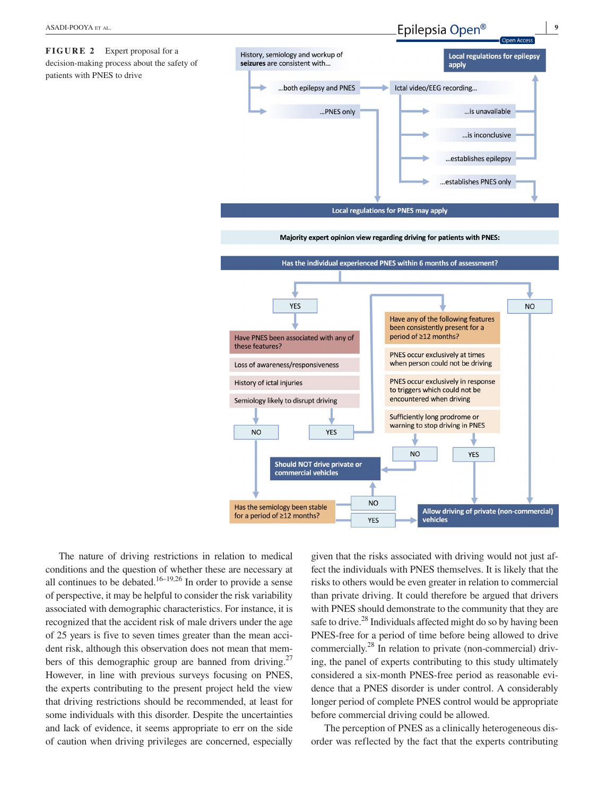

The nature of driving restrictions in relation to medical conditions and the question of whether these are necessary at all continues to be debated.<sup>16–19,26</sup> In order to provide a sense of perspective, it may be helpful to consider the risk variability associated with demographic characteristics. For instance, it is recognized that the accident risk of male drivers under the age of 25 years is five to seven times greater than the mean accident risk, although this observation does not mean that members of this demographic group are banned from driving.<sup>27</sup> However, in line with previous surveys focusing on PNES, the experts contributing to the present project held the view that driving restrictions should be recommended, at least for some individuals with this disorder. Despite the uncertainties and lack of evidence, it seems appropriate to err on the side of caution when driving privileges are concerned, especially

given that the risks associated with driving would not just affect the individuals with PNES themselves. It is likely that the risks to others would be even greater in relation to commercial than private driving. It could therefore be argued that drivers with PNES should demonstrate to the community that they are safe to drive.<sup>28</sup> Individuals affected might do so by having been PNES-free for a period of time before being allowed to drive commercially.28 In relation to private (non-commercial) driving, the panel of experts contributing to this study ultimately considered a six-month PNES-free period as reasonable evidence that a PNES disorder is under control. A considerably longer period of complete PNES control would be appropriate before commercial driving could be allowed.

The perception of PNES as a clinically heterogeneous disorder was reflected by the fact that the experts contributing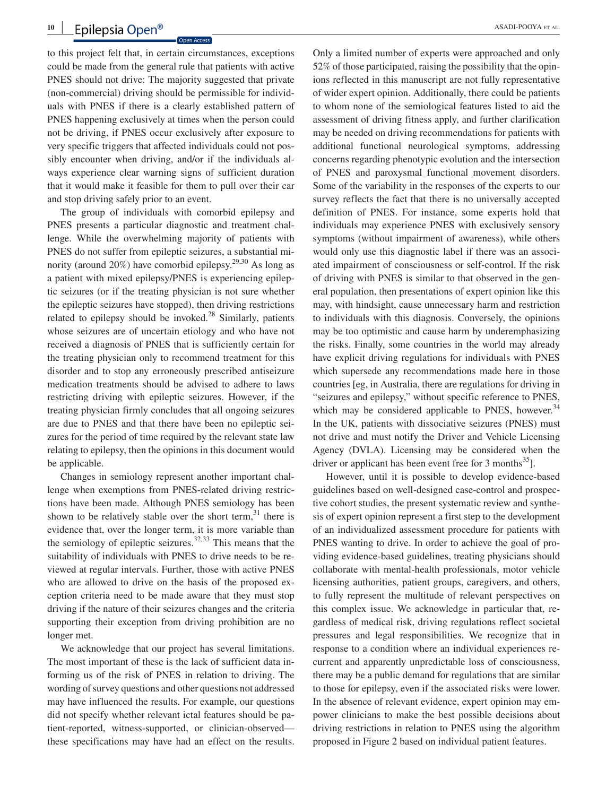#### **<sup>10</sup> <sup>|</sup>** Epilepsia Open<sup>®</sup> 2008 and 2008 and 2008 and 2008 and 2008 and 2008 and 2008 and 2008 and 2008 and 2008 and 2008 and 2008 and 2008 and 2008 and 2008 and 2008 and 2008 and 2008 and 2008 and 2008 and 2008 and 2008 and 2008 a

to this project felt that, in certain circumstances, exceptions could be made from the general rule that patients with active PNES should not drive: The majority suggested that private (non-commercial) driving should be permissible for individuals with PNES if there is a clearly established pattern of PNES happening exclusively at times when the person could not be driving, if PNES occur exclusively after exposure to very specific triggers that affected individuals could not possibly encounter when driving, and/or if the individuals always experience clear warning signs of sufficient duration that it would make it feasible for them to pull over their car and stop driving safely prior to an event.

Open Access

The group of individuals with comorbid epilepsy and PNES presents a particular diagnostic and treatment challenge. While the overwhelming majority of patients with PNES do not suffer from epileptic seizures, a substantial minority (around 20%) have comorbid epilepsy.<sup>29,30</sup> As long as a patient with mixed epilepsy/PNES is experiencing epileptic seizures (or if the treating physician is not sure whether the epileptic seizures have stopped), then driving restrictions related to epilepsy should be invoked.<sup>28</sup> Similarly, patients whose seizures are of uncertain etiology and who have not received a diagnosis of PNES that is sufficiently certain for the treating physician only to recommend treatment for this disorder and to stop any erroneously prescribed antiseizure medication treatments should be advised to adhere to laws restricting driving with epileptic seizures. However, if the treating physician firmly concludes that all ongoing seizures are due to PNES and that there have been no epileptic seizures for the period of time required by the relevant state law relating to epilepsy, then the opinions in this document would be applicable.

Changes in semiology represent another important challenge when exemptions from PNES-related driving restrictions have been made. Although PNES semiology has been shown to be relatively stable over the short term, $31$  there is evidence that, over the longer term, it is more variable than the semiology of epileptic seizures.<sup>32,33</sup> This means that the suitability of individuals with PNES to drive needs to be reviewed at regular intervals. Further, those with active PNES who are allowed to drive on the basis of the proposed exception criteria need to be made aware that they must stop driving if the nature of their seizures changes and the criteria supporting their exception from driving prohibition are no longer met.

We acknowledge that our project has several limitations. The most important of these is the lack of sufficient data informing us of the risk of PNES in relation to driving. The wording of survey questions and other questions not addressed may have influenced the results. For example, our questions did not specify whether relevant ictal features should be patient-reported, witness-supported, or clinician-observed these specifications may have had an effect on the results.

Only a limited number of experts were approached and only 52% of those participated, raising the possibility that the opinions reflected in this manuscript are not fully representative of wider expert opinion. Additionally, there could be patients to whom none of the semiological features listed to aid the assessment of driving fitness apply, and further clarification may be needed on driving recommendations for patients with additional functional neurological symptoms, addressing concerns regarding phenotypic evolution and the intersection of PNES and paroxysmal functional movement disorders. Some of the variability in the responses of the experts to our survey reflects the fact that there is no universally accepted definition of PNES. For instance, some experts hold that individuals may experience PNES with exclusively sensory symptoms (without impairment of awareness), while others would only use this diagnostic label if there was an associated impairment of consciousness or self-control. If the risk of driving with PNES is similar to that observed in the general population, then presentations of expert opinion like this may, with hindsight, cause unnecessary harm and restriction to individuals with this diagnosis. Conversely, the opinions may be too optimistic and cause harm by underemphasizing the risks. Finally, some countries in the world may already have explicit driving regulations for individuals with PNES which supersede any recommendations made here in those countries [eg, in Australia, there are regulations for driving in "seizures and epilepsy," without specific reference to PNES, which may be considered applicable to PNES, however. $34$ In the UK, patients with dissociative seizures (PNES) must not drive and must notify the Driver and Vehicle Licensing Agency (DVLA). Licensing may be considered when the driver or applicant has been event free for 3 months $^{35}$ ].

However, until it is possible to develop evidence-based guidelines based on well-designed case-control and prospective cohort studies, the present systematic review and synthesis of expert opinion represent a first step to the development of an individualized assessment procedure for patients with PNES wanting to drive. In order to achieve the goal of providing evidence-based guidelines, treating physicians should collaborate with mental-health professionals, motor vehicle licensing authorities, patient groups, caregivers, and others, to fully represent the multitude of relevant perspectives on this complex issue. We acknowledge in particular that, regardless of medical risk, driving regulations reflect societal pressures and legal responsibilities. We recognize that in response to a condition where an individual experiences recurrent and apparently unpredictable loss of consciousness, there may be a public demand for regulations that are similar to those for epilepsy, even if the associated risks were lower. In the absence of relevant evidence, expert opinion may empower clinicians to make the best possible decisions about driving restrictions in relation to PNES using the algorithm proposed in Figure 2 based on individual patient features.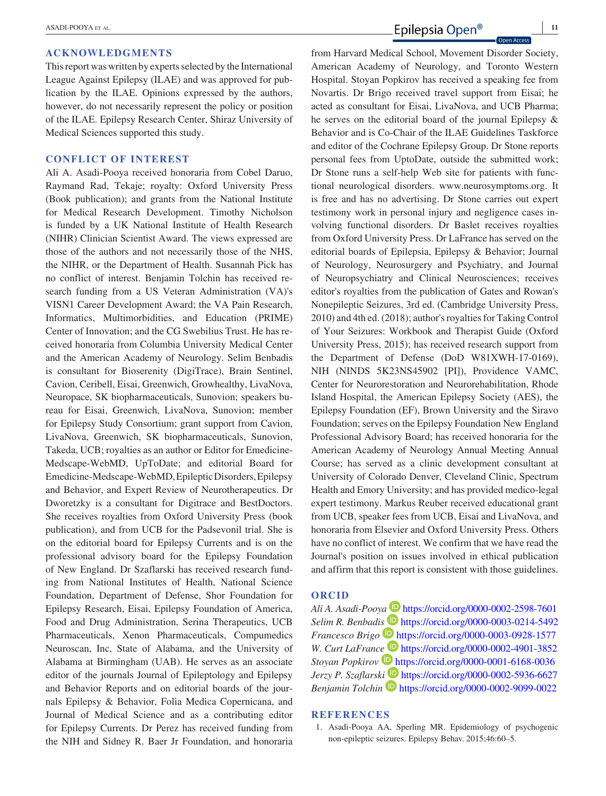#### **ACKNOWLEDGMENTS**

This report was written by experts selected by the International League Against Epilepsy (ILAE) and was approved for publication by the ILAE. Opinions expressed by the authors, however, do not necessarily represent the policy or position of the ILAE. Epilepsy Research Center, Shiraz University of Medical Sciences supported this study.

#### **CONFLICT OF INTEREST**

Ali A. Asadi-Pooya received honoraria from Cobel Daruo, Raymand Rad, Tekaje; royalty: Oxford University Press (Book publication); and grants from the National Institute for Medical Research Development. Timothy Nicholson is funded by a UK National Institute of Health Research (NIHR) Clinician Scientist Award. The views expressed are those of the authors and not necessarily those of the NHS, the NIHR, or the Department of Health. Susannah Pick has no conflict of interest. Benjamin Tolchin has received research funding from a US Veteran Administration (VA)'s VISN1 Career Development Award; the VA Pain Research, Informatics, Multimorbidities, and Education (PRIME) Center of Innovation; and the CG Swebilius Trust. He has received honoraria from Columbia University Medical Center and the American Academy of Neurology. Selim Benbadis is consultant for Bioserenity (DigiTrace), Brain Sentinel, Cavion, Ceribell, Eisai, Greenwich, Growhealthy, LivaNova, Neuropace, SK biopharmaceuticals, Sunovion; speakers bureau for Eisai, Greenwich, LivaNova, Sunovion; member for Epilepsy Study Consortium; grant support from Cavion, LivaNova, Greenwich, SK biopharmaceuticals, Sunovion, Takeda, UCB; royalties as an author or Editor for Emedicine-Medscape-WebMD, UpToDate; and editorial Board for Emedicine-Medscape-WebMD, Epileptic Disorders, Epilepsy and Behavior, and Expert Review of Neurotherapeutics. Dr Dworetzky is a consultant for Digitrace and BestDoctors. She receives royalties from Oxford University Press (book publication), and from UCB for the Padsevonil trial. She is on the editorial board for Epilepsy Currents and is on the professional advisory board for the Epilepsy Foundation of New England. Dr Szaflarski has received research funding from National Institutes of Health, National Science Foundation, Department of Defense, Shor Foundation for Epilepsy Research, Eisai, Epilepsy Foundation of America, Food and Drug Administration, Serina Therapeutics, UCB Pharmaceuticals, Xenon Pharmaceuticals, Compumedics Neuroscan, Inc, State of Alabama, and the University of Alabama at Birmingham (UAB). He serves as an associate editor of the journals Journal of Epileptology and Epilepsy and Behavior Reports and on editorial boards of the journals Epilepsy & Behavior, Folia Medica Copernicana, and Journal of Medical Science and as a contributing editor for Epilepsy Currents. Dr Perez has received funding from the NIH and Sidney R. Baer Jr Foundation, and honoraria

 **|** ASADI-POOYA et al. **<sup>11</sup>**

from Harvard Medical School, Movement Disorder Society, American Academy of Neurology, and Toronto Western Hospital. Stoyan Popkirov has received a speaking fee from Novartis. Dr Brigo received travel support from Eisai; he acted as consultant for Eisai, LivaNova, and UCB Pharma; he serves on the editorial board of the journal Epilepsy & Behavior and is Co-Chair of the ILAE Guidelines Taskforce and editor of the Cochrane Epilepsy Group. Dr Stone reports personal fees from UptoDate, outside the submitted work; Dr Stone runs a self-help Web site for patients with functional neurological disorders. [www.neurosymptoms.org.](http://www.neurosymptoms.org) It is free and has no advertising. Dr Stone carries out expert testimony work in personal injury and negligence cases involving functional disorders. Dr Baslet receives royalties from Oxford University Press. Dr LaFrance has served on the editorial boards of Epilepsia, Epilepsy & Behavior; Journal of Neurology, Neurosurgery and Psychiatry, and Journal of Neuropsychiatry and Clinical Neurosciences; receives editor's royalties from the publication of Gates and Rowan's Nonepileptic Seizures, 3rd ed. (Cambridge University Press, 2010) and 4th ed. (2018); author's royalties for Taking Control of Your Seizures: Workbook and Therapist Guide (Oxford University Press, 2015); has received research support from the Department of Defense (DoD W81XWH-17-0169), NIH (NINDS 5K23NS45902 [PI]), Providence VAMC, Center for Neurorestoration and Neurorehabilitation, Rhode Island Hospital, the American Epilepsy Society (AES), the Epilepsy Foundation (EF), Brown University and the Siravo Foundation; serves on the Epilepsy Foundation New England Professional Advisory Board; has received honoraria for the American Academy of Neurology Annual Meeting Annual Course; has served as a clinic development consultant at University of Colorado Denver, Cleveland Clinic, Spectrum Health and Emory University; and has provided medico-legal expert testimony. Markus Reuber received educational grant from UCB, speaker fees from UCB, Eisai and LivaNova, and honoraria from Elsevier and Oxford University Press. Others have no conflict of interest. We confirm that we have read the Journal's position on issues involved in ethical publication and affirm that this report is consistent with those guidelines.

#### **ORCID**

*Ali A. Asadi-Pooy[a](https://orcid.org/0000-0003-0214-5492)* <https://orcid.org/0000-0002-2598-7601> *Selim R. Benbad[is](https://orcid.org/0000-0003-0928-1577)* <https://orcid.org/0000-0003-0214-5492> *Francesco Brigo* <https://orcid.org/0000-0003-0928-1577> *W. Curt LaFran[ce](https://orcid.org/0000-0001-6168-0036)* <https://orcid.org/0000-0002-4901-3852> *Stoyan Popkirov* <https://orcid.org/0000-0001-6168-0036> *Jerzy P. Szaflarsk[i](https://orcid.org/0000-0002-9099-0022)* <https://orcid.org/0000-0002-5936-6627> *Benjamin Tolchin* <https://orcid.org/0000-0002-9099-0022>

#### **REFERENCES**

1. Asadi-Pooya AA, Sperling MR. Epidemiology of psychogenic non-epileptic seizures. Epilepsy Behav. 2015;46:60–5.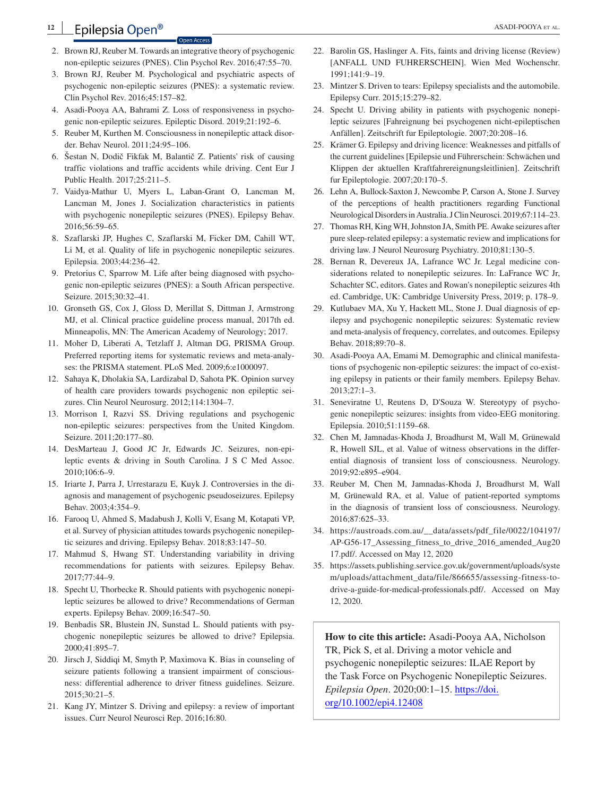#### **<sup>12</sup> <sup>|</sup>** ASADI-POOYA et al.

2. Brown RJ, Reuber M. Towards an integrative theory of psychogenic non-epileptic seizures (PNES). Clin Psychol Rev. 2016;47:55–70.

Open Access

- 3. Brown RJ, Reuber M. Psychological and psychiatric aspects of psychogenic non-epileptic seizures (PNES): a systematic review. Clin Psychol Rev. 2016;45:157–82.
- 4. Asadi-Pooya AA, Bahrami Z. Loss of responsiveness in psychogenic non-epileptic seizures. Epileptic Disord. 2019;21:192–6.
- 5. Reuber M, Kurthen M. Consciousness in nonepileptic attack disorder. Behav Neurol. 2011;24:95–106.
- 6. Šestan N, Dodič Fikfak M, Balantič Z. Patients' risk of causing traffic violations and traffic accidents while driving. Cent Eur J Public Health. 2017;25:211–5.
- 7. Vaidya-Mathur U, Myers L, Laban-Grant O, Lancman M, Lancman M, Jones J. Socialization characteristics in patients with psychogenic nonepileptic seizures (PNES). Epilepsy Behav. 2016;56:59–65.
- 8. Szaflarski JP, Hughes C, Szaflarski M, Ficker DM, Cahill WT, Li M, et al. Quality of life in psychogenic nonepileptic seizures. Epilepsia. 2003;44:236–42.
- 9. Pretorius C, Sparrow M. Life after being diagnosed with psychogenic non-epileptic seizures (PNES): a South African perspective. Seizure. 2015;30:32–41.
- 10. Gronseth GS, Cox J, Gloss D, Merillat S, Dittman J, Armstrong MJ, et al. Clinical practice guideline process manual, 2017th ed. Minneapolis, MN: The American Academy of Neurology; 2017.
- 11. Moher D, Liberati A, Tetzlaff J, Altman DG, PRISMA Group. Preferred reporting items for systematic reviews and meta-analyses: the PRISMA statement. PLoS Med. 2009;6:e1000097.
- 12. Sahaya K, Dholakia SA, Lardizabal D, Sahota PK. Opinion survey of health care providers towards psychogenic non epileptic seizures. Clin Neurol Neurosurg. 2012;114:1304–7.
- 13. Morrison I, Razvi SS. Driving regulations and psychogenic non-epileptic seizures: perspectives from the United Kingdom. Seizure. 2011;20:177–80.
- 14. DesMarteau J, Good JC Jr, Edwards JC. Seizures, non-epileptic events & driving in South Carolina. J S C Med Assoc. 2010;106:6–9.
- 15. Iriarte J, Parra J, Urrestarazu E, Kuyk J. Controversies in the diagnosis and management of psychogenic pseudoseizures. Epilepsy Behav. 2003;4:354–9.
- 16. Farooq U, Ahmed S, Madabush J, Kolli V, Esang M, Kotapati VP, et al. Survey of physician attitudes towards psychogenic nonepileptic seizures and driving. Epilepsy Behav. 2018;83:147–50.
- 17. Mahmud S, Hwang ST. Understanding variability in driving recommendations for patients with seizures. Epilepsy Behav. 2017;77:44–9.
- 18. Specht U, Thorbecke R. Should patients with psychogenic nonepileptic seizures be allowed to drive? Recommendations of German experts. Epilepsy Behav. 2009;16:547–50.
- 19. Benbadis SR, Blustein JN, Sunstad L. Should patients with psychogenic nonepileptic seizures be allowed to drive? Epilepsia. 2000;41:895–7.
- 20. Jirsch J, Siddiqi M, Smyth P, Maximova K. Bias in counseling of seizure patients following a transient impairment of consciousness: differential adherence to driver fitness guidelines. Seizure. 2015;30:21–5.
- 21. Kang JY, Mintzer S. Driving and epilepsy: a review of important issues. Curr Neurol Neurosci Rep. 2016;16:80.
- 22. Barolin GS, Haslinger A. Fits, faints and driving license (Review) [ANFALL UND FUHRERSCHEIN]. Wien Med Wochenschr. 1991;141:9–19.
- 23. Mintzer S. Driven to tears: Epilepsy specialists and the automobile. Epilepsy Curr. 2015;15:279–82.
- 24. Specht U. Driving ability in patients with psychogenic nonepileptic seizures [Fahreignung bei psychogenen nicht-epileptischen Anfällen]. Zeitschrift fur Epileptologie. 2007;20:208–16.
- 25. Krämer G. Epilepsy and driving licence: Weaknesses and pitfalls of the current guidelines [Epilepsie und Führerschein: Schwächen und Klippen der aktuellen Kraftfahrereignungsleitlinien]. Zeitschrift fur Epileptologie. 2007;20:170–5.
- 26. Lehn A, Bullock-Saxton J, Newcombe P, Carson A, Stone J. Survey of the perceptions of health practitioners regarding Functional Neurological Disorders in Australia. J Clin Neurosci. 2019;67:114–23.
- 27. Thomas RH, King WH, Johnston JA, Smith PE. Awake seizures after pure sleep-related epilepsy: a systematic review and implications for driving law. J Neurol Neurosurg Psychiatry. 2010;81:130–5.
- 28. Bernan R, Devereux JA, Lafrance WC Jr. Legal medicine considerations related to nonepileptic seizures. In: LaFrance WC Jr, Schachter SC, editors. Gates and Rowan's nonepileptic seizures 4th ed. Cambridge, UK: Cambridge University Press, 2019; p. 178–9.
- 29. Kutlubaev MA, Xu Y, Hackett ML, Stone J. Dual diagnosis of epilepsy and psychogenic nonepileptic seizures: Systematic review and meta-analysis of frequency, correlates, and outcomes. Epilepsy Behav. 2018;89:70–8.
- 30. Asadi-Pooya AA, Emami M. Demographic and clinical manifestations of psychogenic non-epileptic seizures: the impact of co-existing epilepsy in patients or their family members. Epilepsy Behav. 2013;27:1–3.
- 31. Seneviratne U, Reutens D, D'Souza W. Stereotypy of psychogenic nonepileptic seizures: insights from video-EEG monitoring. Epilepsia. 2010;51:1159–68.
- 32. Chen M, Jamnadas-Khoda J, Broadhurst M, Wall M, Grünewald R, Howell SJL, et al. Value of witness observations in the differential diagnosis of transient loss of consciousness. Neurology. 2019;92:e895–e904.
- 33. Reuber M, Chen M, Jamnadas-Khoda J, Broadhurst M, Wall M, Grünewald RA, et al. Value of patient-reported symptoms in the diagnosis of transient loss of consciousness. Neurology. 2016;87:625–33.
- 34. [https://austroads.com.au/\\_\\_data/assets/pdf\\_file/0022/104197/](https://austroads.com.au/__data/assets/pdf_file/0022/104197/AP-G56-17_Assessing_fitness_to_drive_2016_amended_Aug2017.pdf/) [AP-G56-17\\_Assessing\\_fitness\\_to\\_drive\\_2016\\_amended\\_Aug20](https://austroads.com.au/__data/assets/pdf_file/0022/104197/AP-G56-17_Assessing_fitness_to_drive_2016_amended_Aug2017.pdf/) [17.pdf/.](https://austroads.com.au/__data/assets/pdf_file/0022/104197/AP-G56-17_Assessing_fitness_to_drive_2016_amended_Aug2017.pdf/) Accessed on May 12, 2020
- 35. [https://assets.publishing.service.gov.uk/government/uploads/syste](https://assets.publishing.service.gov.uk/government/uploads/system/uploads/attachment_data/file/866655/assessing-fitness-to-drive-a-guide-for-medical-professionals.pdf/) [m/uploads/attachment\\_data/file/866655/assessing-fitness-to](https://assets.publishing.service.gov.uk/government/uploads/system/uploads/attachment_data/file/866655/assessing-fitness-to-drive-a-guide-for-medical-professionals.pdf/)[drive-a-guide-for-medical-professionals.pdf/](https://assets.publishing.service.gov.uk/government/uploads/system/uploads/attachment_data/file/866655/assessing-fitness-to-drive-a-guide-for-medical-professionals.pdf/). Accessed on May 12, 2020.

**How to cite this article:** Asadi-Pooya AA, Nicholson TR, Pick S, et al. Driving a motor vehicle and psychogenic nonepileptic seizures: ILAE Report by the Task Force on Psychogenic Nonepileptic Seizures. *Epilepsia Open*. 2020;00:1–15. [https://doi.](https://doi.org/10.1002/epi4.12408) [org/10.1002/epi4.12408](https://doi.org/10.1002/epi4.12408)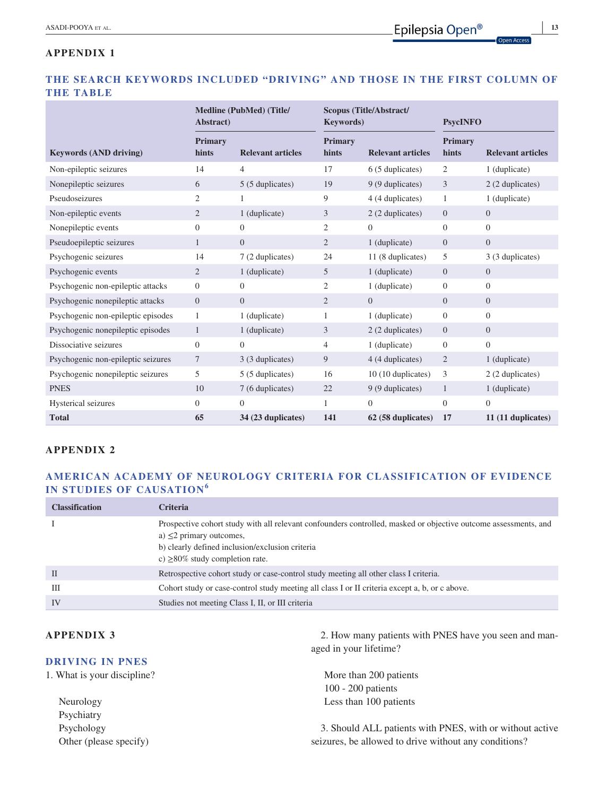# **APPENDIX 1**

# **THE SEARCH KEYWORDS INCLUDED "DRIVING" AND THOSE IN THE FIRST COLUMN OF THE TABLE**

|                                    | Abstract)               | Medline (PubMed) (Title/ | <b>Keywords</b> )              | <b>Scopus (Title/Abstract/</b> | <b>PsycINFO</b>         |                          |
|------------------------------------|-------------------------|--------------------------|--------------------------------|--------------------------------|-------------------------|--------------------------|
| <b>Keywords (AND driving)</b>      | <b>Primary</b><br>hints | <b>Relevant articles</b> | <b>Primary</b><br><b>hints</b> | <b>Relevant articles</b>       | <b>Primary</b><br>hints | <b>Relevant articles</b> |
| Non-epileptic seizures             | 14                      | $\overline{4}$           | 17                             | 6 (5 duplicates)               | $\mathfrak{2}$          | 1 (duplicate)            |
| Nonepileptic seizures              | 6                       | 5 (5 duplicates)         | 19                             | 9 (9 duplicates)               | 3                       | 2 (2 duplicates)         |
| Pseudoseizures                     | $\overline{2}$          | 1                        | 9                              | 4 (4 duplicates)               | $\mathbf{1}$            | 1 (duplicate)            |
| Non-epileptic events               | $\mathbf{2}$            | 1 (duplicate)            | 3                              | 2 (2 duplicates)               | $\mathbf{0}$            | $\overline{0}$           |
| Nonepileptic events                | $\boldsymbol{0}$        | $\overline{0}$           | 2                              | $\Omega$                       | $\overline{0}$          | $\theta$                 |
| Pseudoepileptic seizures           | $\mathbf{1}$            | $\boldsymbol{0}$         | $\overline{2}$                 | 1 (duplicate)                  | $\boldsymbol{0}$        | $\mathbf{0}$             |
| Psychogenic seizures               | 14                      | 7 (2 duplicates)         | 24                             | 11 (8 duplicates)              | 5                       | 3 (3 duplicates)         |
| Psychogenic events                 | 2                       | 1 (duplicate)            | 5                              | 1 (duplicate)                  | $\overline{0}$          | $\overline{0}$           |
| Psychogenic non-epileptic attacks  | $\overline{0}$          | $\overline{0}$           | 2                              | 1 (duplicate)                  | $\overline{0}$          | $\overline{0}$           |
| Psychogenic nonepileptic attacks   | $\overline{0}$          | $\overline{0}$           | $\overline{2}$                 | $\overline{0}$                 | $\overline{0}$          | $\overline{0}$           |
| Psychogenic non-epileptic episodes | $\mathbf{1}$            | 1 (duplicate)            | 1                              | 1 (duplicate)                  | $\boldsymbol{0}$        | $\theta$                 |
| Psychogenic nonepileptic episodes  | 1                       | 1 (duplicate)            | 3                              | 2 (2 duplicates)               | $\overline{0}$          | $\overline{0}$           |
| Dissociative seizures              | $\overline{0}$          | $\mathbf{0}$             | $\overline{4}$                 | 1 (duplicate)                  | $\theta$                | $\theta$                 |
| Psychogenic non-epileptic seizures | 7                       | 3 (3 duplicates)         | 9                              | 4 (4 duplicates)               | 2                       | 1 (duplicate)            |
| Psychogenic nonepileptic seizures  | 5                       | 5 (5 duplicates)         | 16                             | 10 (10 duplicates)             | 3                       | 2 (2 duplicates)         |
| <b>PNES</b>                        | 10                      | 7 (6 duplicates)         | 22                             | 9 (9 duplicates)               | 1                       | 1 (duplicate)            |
| Hysterical seizures                | $\overline{0}$          | $\mathbf{0}$             | 1                              | $\theta$                       | $\overline{0}$          | $\mathbf{0}$             |
| <b>Total</b>                       | 65                      | 34 (23 duplicates)       | 141                            | 62 (58 duplicates)             | 17                      | 11 (11 duplicates)       |

# **APPENDIX 2**

# **AMERICAN ACADEMY OF NEUROLOGY CRITERIA FOR CLASSIFICATION OF EVIDENCE IN STUDIES OF CAUSATION<sup>6</sup>**

| <b>Classification</b> | <b>Criteria</b>                                                                                                                                                                                                                             |
|-----------------------|---------------------------------------------------------------------------------------------------------------------------------------------------------------------------------------------------------------------------------------------|
|                       | Prospective cohort study with all relevant confounders controlled, masked or objective outcome assessments, and<br>a) $\leq$ 2 primary outcomes,<br>b) clearly defined inclusion/exclusion criteria<br>c) $\geq$ 80% study completion rate. |
| $\mathbf{I}$          | Retrospective cohort study or case-control study meeting all other class I criteria.                                                                                                                                                        |
| Ш                     | Cohort study or case-control study meeting all class I or II criteria except a, b, or c above.                                                                                                                                              |
| IV                    | Studies not meeting Class I, II, or III criteria                                                                                                                                                                                            |

# **APPENDIX 3**

## **DRIVING IN PNES**

1. What is your discipline?

Neurology Psychiatry Psychology Other (please specify)

2. How many patients with PNES have you seen and managed in your lifetime?

More than 200 patients 100 - 200 patients Less than 100 patients

3. Should ALL patients with PNES, with or without active seizures, be allowed to drive without any conditions?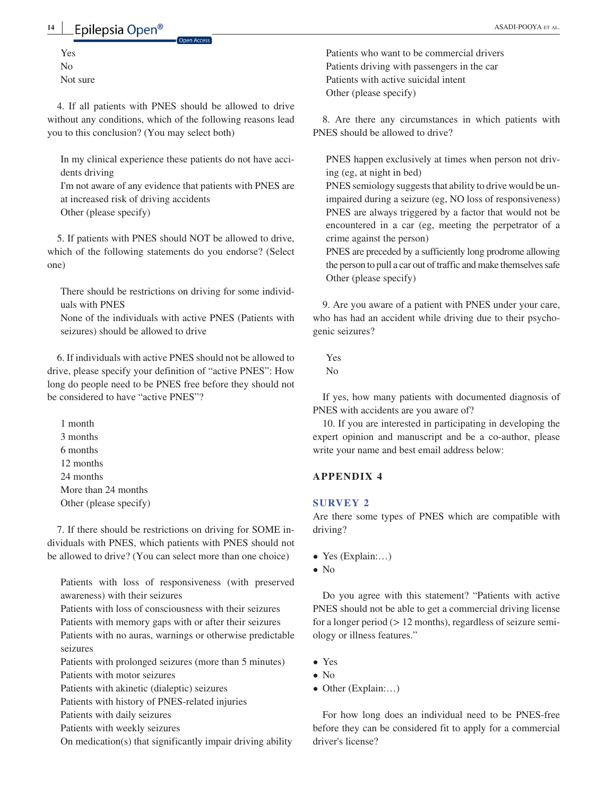#### **<sup>14</sup> <sup>|</sup>** ASADI-POOYA et al.

Yes No Not sure

4. If all patients with PNES should be allowed to drive without any conditions, which of the following reasons lead you to this conclusion? (You may select both)

pen Access

In my clinical experience these patients do not have accidents driving

I'm not aware of any evidence that patients with PNES are at increased risk of driving accidents

Other (please specify)

5. If patients with PNES should NOT be allowed to drive, which of the following statements do you endorse? (Select one)

There should be restrictions on driving for some individuals with PNES

None of the individuals with active PNES (Patients with seizures) should be allowed to drive

6. If individuals with active PNES should not be allowed to drive, please specify your definition of "active PNES": How long do people need to be PNES free before they should not be considered to have "active PNES"?

1 month 3 months 6 months 12 months 24 months More than 24 months Other (please specify)

7. If there should be restrictions on driving for SOME individuals with PNES, which patients with PNES should not be allowed to drive? (You can select more than one choice)

Patients with loss of responsiveness (with preserved awareness) with their seizures

Patients with loss of consciousness with their seizures

Patients with memory gaps with or after their seizures

Patients with no auras, warnings or otherwise predictable seizures

Patients with prolonged seizures (more than 5 minutes) Patients with motor seizures

Patients with akinetic (dialeptic) seizures

Patients with history of PNES-related injuries

Patients with daily seizures

Patients with weekly seizures

On medication(s) that significantly impair driving ability

Patients who want to be commercial drivers Patients driving with passengers in the car Patients with active suicidal intent Other (please specify)

8. Are there any circumstances in which patients with PNES should be allowed to drive?

PNES happen exclusively at times when person not driving (eg, at night in bed)

PNES semiology suggests that ability to drive would be unimpaired during a seizure (eg, NO loss of responsiveness) PNES are always triggered by a factor that would not be encountered in a car (eg, meeting the perpetrator of a crime against the person)

PNES are preceded by a sufficiently long prodrome allowing the person to pull a car out of traffic and make themselves safe Other (please specify)

9. Are you aware of a patient with PNES under your care, who has had an accident while driving due to their psychogenic seizures?

Yes No

If yes, how many patients with documented diagnosis of PNES with accidents are you aware of?

10. If you are interested in participating in developing the expert opinion and manuscript and be a co-author, please write your name and best email address below:

#### **APPENDIX 4**

#### **SURVEY 2**

Are there some types of PNES which are compatible with driving?

- Yes (Explain:…)
- No

Do you agree with this statement? "Patients with active PNES should not be able to get a commercial driving license for a longer period  $(> 12$  months), regardless of seizure semiology or illness features."

- Yes
- No
- Other (Explain:...)

For how long does an individual need to be PNES-free before they can be considered fit to apply for a commercial driver's license?